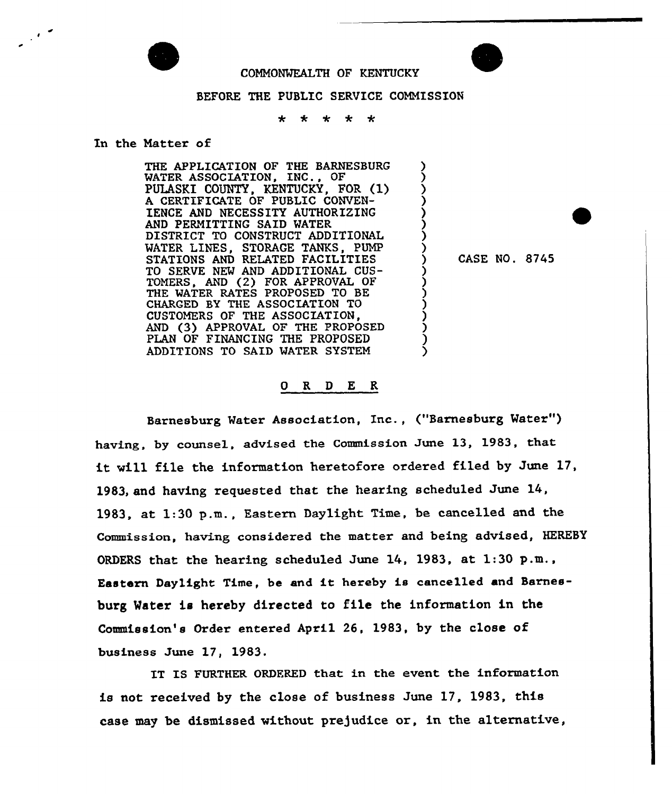

 $\mathcal{F}^{\mathcal{A}}$ 

COMMONWEALTH OF KENTUCKY

## BEFORE THE PUBLIC SERVICE COMMISSION

 $\ddot{\textbf{r}}$  $\star$  $\star$  $\star$ 

## In the Matter of

THE APPLICATION OF THE BARNESBURG MATER ASSOCIATION, INC., OF PULASKI COUNTY, KENTUCKY, FOR (1) A CERTIFICATE OF PUBLIC CONVEN-IENCE AND NECESSITY AUTHORIZING AND PERMITTING SAID MATER DISTRICT TO CONSTRUCT ADDITIONAL WATER LINES, STORAGE TANKS, PUMP STATIONS AND RELATED FACILITIES TO SERVE NEM AND ADDITIONAL CUS-TOMERS, AND (2) FOR APPROVAL OF THE WATER RATES PROPOSED TO BE CHARGED BY THE ASSOCIATION TO CUSTOMERS OF THE ASSOCIATION, AND (3) APPROVAL OF THE PROPOSED PLAN OF FINANCING THE PROPOSED ADDITIONS TO SAID WATER SYSTEM

) CASE NO. 8745

 $\overline{\mathbf{y}}$ )  $\dot{\zeta}$ ) ) ) ) )

> ) ) <u>ز</u> ) ) <u>ز</u> )  $\mathcal{S}_{\mathcal{A}}$

## 0 R <sup>D</sup> E R

Barnesburg Mater Association, Inc., ("Barnesburg Water" ) having, by counsel, advised the Commission June 13, 1983, that it will file the information heretofore ordered filed by June 17, 1983, and having requested that the hearing scheduled June 14, 1983, at 1:30 p.m., Eastern Daylight Time, be cancelled and the Commission, having considered the matter and being advised, HEREBY ORDERS that the hearing scheduled June 14, 1983, at 1:30 p.m., Eastern Daylight Time, be and it hereby is cancelled and Barnesburg Water is hereby directed to file the information in the Commission's Order entered April 26, 1983, by the close of business June 17, 1983.

IT IS FURTHER ORDFRED that in the event the information is not received by the close of business June 17, 1983, this case may be dismissed without pre]udice or, in the alternative,